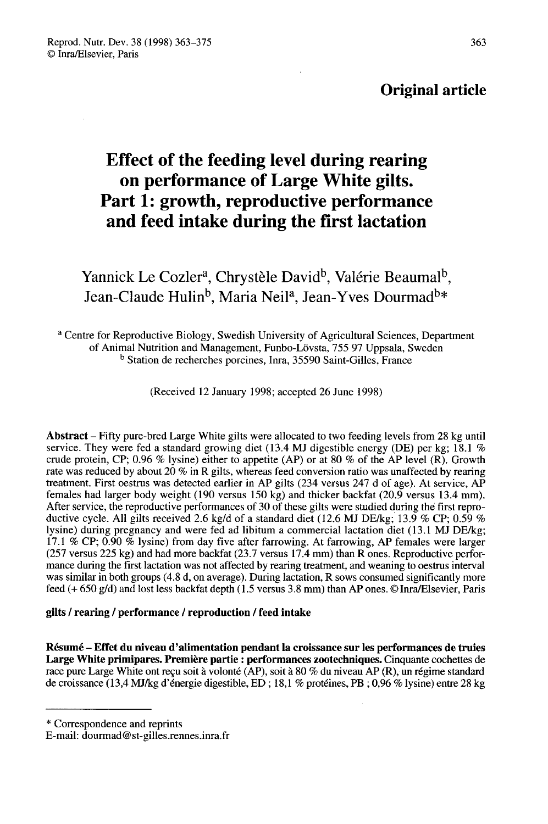## Original article

# Effect of the feeding level during rearing on performance of Large White gilts. Part 1: growth, reproductive performance and feed intake during the first lactation

**Tart 1. growth, reproductive performance**<br> **and feed intake during the first lactation**<br>
Yannick Le Cozler<sup>a</sup>, Chrystèle David<sup>b</sup>, Valérie Beaumal<sup>t</sup><br>
Jean-Claude Hulin<sup>b</sup>, Maria Neil<sup>a</sup>, Jean-Yves Dourmad<sup>ba</sup> Yannick Le Cozler<sup>a</sup>, Chrystèle David<sup>b</sup>, Valérie Beaumal<sup>b</sup>, Jean-Claude Hulin<sup>b</sup>, Maria Neil<sup>a</sup>, Jean-Yves Dourmad<sup>b\*</sup>

<sup>a</sup> Centre for Reproductive Biology, Swedish University of Agricultural Sciences, Department of Animal Nutrition and Management, Funbo-Lövsta, 755 97 Uppsala, Sweden <sup>b</sup> Station de recherches porcines, Inra, 35590 Saint-Gilles, France

(Received 12 January 1998; accepted 26 June 1998)

Abstract – Fifty pure-bred Large White gilts were allocated to two feeding levels from 28 kg until service. They were fed a standard growing diet (13.4 MJ digestible energy (DE) per kg; 18.1 % crude protein, CP; 0.96 % lysine) either to appetite (AP) or at 80 % of the AP level (R). Growth rate was reduced by about 20 % in R gilts, whereas feed conversion ratio was unaffected by rearing treatment. First oestrus was detected earlier in AP gilts (234 versus 247 d of age). At service, AP females had larger body weight (190 versus 150 kg) and thicker backfat (20.9 versus 13.4 mm). After service, the reproductive performances of 30 of these gilts were studied during the first reproductive cycle. All gilts received 2.6 kg/d of a standard diet (12.6 MJ DE/kg; 13.9 % CP; 0.59 % lysine) during pregnancy and were fed ad libitum a commercial lactation diet (13.1 MJ DE/kg; 17.1 % CP; 0.90 % lysine) from day five after farrowing. At farrowing, AP females were larger (257 versus 225 kg) and had more backfat (23.7 versus 17.4 mm) than R ones. Reproductive perfor- mance during the first lactation was not affected by rearing treatment, and weaning to oestrus interval was similar in both groups (4.8 d, on average). During lactation, R sows consumed significantly more feed (+ 650 g/d) and lost less backfat depth (1.5 versus 3.8 mm) than AP ones. © Inra/Elsevier, Paris

#### gilts / rearing / performance / reproduction / feed intake

Résumé - Effet du niveau d'alimentation pendant la croissance sur les performances de truies Large White primipares. Première partie : performances zootechniques. Cinquante cochettes de race pure Large White ont reçu soit à volonté (AP), soit à 80 % du niveau AP (R), un régime standard de croissance (13,4 MJ/kg d'énergie digestible, ED ; 18,1 % protéines, PB ; 0,96 % lysine) entre 28 kg

\* Correspondence and reprints

E-mail: dourmad@st-gilles.rennes.inra.fr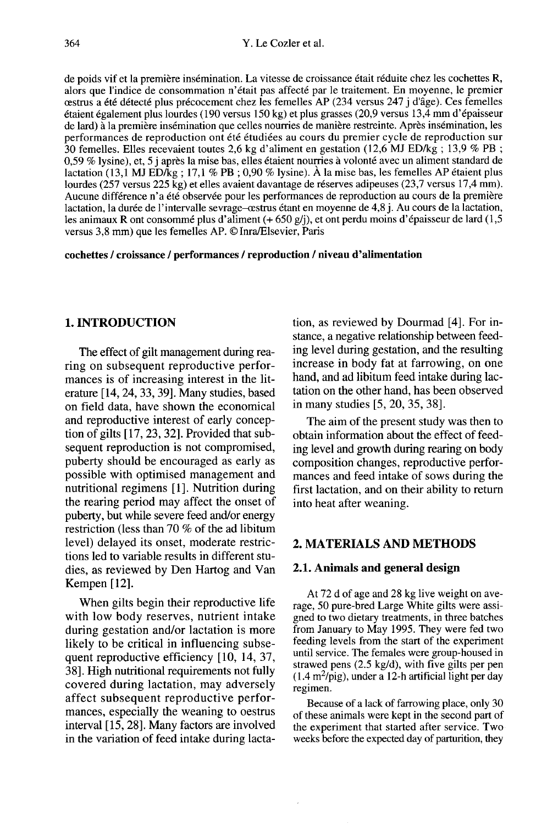de poids vif et la première insémination. La vitesse de croissance était réduite chez les cochettes R, alors que l'indice de consommation n'était pas affecté par le traitement. En moyenne, le premier alors que l'indice de consommation n'était pas affecté par le traitement. En moyenne, le premier oestrus a été détecté plus précocement chez les femelles AP (234 versus 247 j d'âge). Ces femelles étaient également plus lourdes (190 versus 150 kg) et plus grasses (20,9 versus 13,4 mm d'épaisseur de lard) à la première insémination que celles nourries de manière restreinte. Après insémination, les performances de reproduction ont été étudiées au cours du premier cycle de reproduction sur 30 femelles. Elles recevaient toutes 2,6 kg d'aliment en gestation (12,6 MJ ED/kg ; 13,9 % PB ; 0,59 % lysine), et, 5 j après la mise bas, elles étaient nourries à volonté avec un aliment standard de lactation (13,1 MJ ED/kg; 17,1 % PB; 0,90 % lysine). À la mise bas, les femelles AP étaient plus lourdes (257 versus 225 kg) et elles avaient davantage de réserves adipeuses (23,7 versus 17,4 mm). Aucune différence n'a été observée pour les performances de reproduction au cours de la première lactation, la durée de l'intervalle sevrage-œstrus étant en moyenne de 4,8 j. Au cours de la lactation, les animaux R ont consommé plus d'aliment (+ 650 g/j), et ont perdu moins d'épaisseur de lard (1,5 versus 3,8 mm) que les femelles AP. © jnra/Elsevier, Paris

#### cochettes / croissance / performances / reproduction / niveau d'alimentation

## 1. INTRODUCTION

The effect of gilt management during rearing on subsequent reproductive performances is of increasing interest in the literature [14, 24, 33, 39]. Many studies, based on field data, have shown the economical and reproductive interest of early conception of gilts [17, 23, 32]. Provided that subsequent reproduction is not compromised, puberty should be encouraged as early as possible with optimised management and nutritional regimens [1]. Nutrition during the rearing period may affect the onset of puberty, but while severe feed and/or energy restriction (less than 70 % of the ad libitum level) delayed its onset, moderate restrictions led to variable results in different studies, as reviewed by Den Hartog and Van Kempen [12].

When gilts begin their reproductive life with low body reserves, nutrient intake during gestation and/or lactation is more likely to be critical in influencing subsequent reproductive efficiency [10, 14, 37, 38]. High nutritional requirements not fully covered during lactation, may adversely<br>affect subsequent reproductive perfor-<br>mances, especially the weaning to oestrus<br>interval [15, 28]. Many factors are involved<br>in the variation of feed intake during lactaaffect subsequent reproductive perfor mances, especially the weaning to oestrus<br>interval [15, 28]. Many factors are involved in the variation of feed intake during lactation, as reviewed by Dourmad [4]. For instance, a negative relationship between feeding level during gestation, and the resulting increase in body fat at farrowing, on one hand, and ad libitum feed intake during lactation on the other hand, has been observed in many studies [5, 20, 35, 38].

The aim of the present study was then to obtain information about the effect of feeding level and growth during rearing on body composition changes, reproductive perfor mances and feed intake of sows during the first lactation, and on their ability to return into heat after weaning.

## 2. MATERIALS AND METHODS

## 2.1. Animals and general design

At 72 d of age and 28 kg live weight on average, 50 pure-bred Large White gilts were assigned to two dietary treatments, in three batches from January to May 1995. They were fed two feeding levels from the start of the experiment until service. The females were group-housed in strawed pens (2.5 kg/d), with five gilts per pen (1.4 m<sup>2</sup>/pig), under a 12-h artificial light per day feeding levels from the start of the experiment<br>until service. The females were group-housed in<br>strawed pens  $(2.5 \text{ kg/d})$ , with five gilts per pen<br> $(1.4 \text{ m}^2/\text{pi})$ , under a 12-h artificial light per day<br>regimen. regimen.

Because of a lack of farrowing place, only 30 of these animals were kept in the second part of the experiment that started after service. Two weeks before the expected day of parturition, they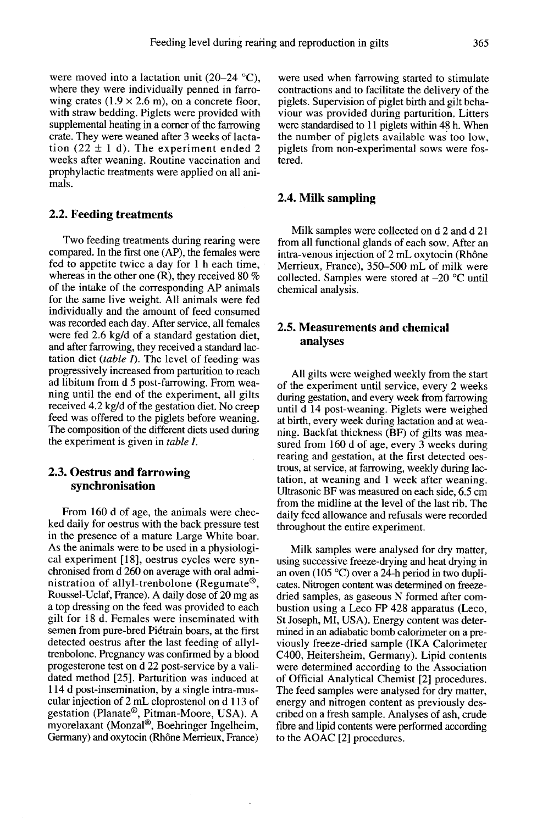were moved into a lactation unit (20-24 °C), where they were individually penned in farrowing crates  $(1.9 \times 2.6 \text{ m})$ , on a concrete floor, with straw bedding. Piglets were provided with supplemental heating in a comer of the farrowing crate. They were weaned after 3 weeks of lactation  $(22 \pm 1)$  d). The experiment ended 2 weeks after weaning. Routine vaccination and prophylactic treatments were applied on all animals.

#### 2.2. Feeding treatments

Two feeding treatments during rearing were compared. In the first one (AP), the females were fed to appetite twice a day for 1 h each time, whereas in the other one  $(R)$ , they received 80 % of the intake of the corresponding AP animals for the same live weight. All animals were fed individually and the amount of feed consumed was recorded each day. After service, all females were fed 2.6 kg/d of a standard gestation diet, and after farrowing, they received a standard lactation diet (table  $\Gamma$ ). The level of feeding was progressively increased from parturition to reach ad libitum from d 5 post-farrowing. From weaning until the end of the experiment, all gilts received 4.2 kg/d of the gestation diet. No creep feed was offered to the piglets before weaning. The composition of the different diets used during. the experiment is given in table I.

#### 2.3. Oestrus and farrowing synchronisation

From 160 d of age, the animals were checked daily for oestrus with the back pressure test in the presence of a mature Large White boar. As the animals were to be used in a physiologi cal experiment [18], oestrus cycles were synchronised from d 260 on average with oral administration of allyl-trenbolone Roussel-Uclaf, France). A daily dose of 20 mg as als were chec-<br>
k pressure test<br>
e White boar<br>
a physiologi-<br>
les were syn-<br>
with oral admi-<br>
(Regumate ®,<br>
se of 20 mg as<br>
byided to each a top dressing on the feed was provided to each gilt for 18 d. Females were inseminated with semen from pure-bred Piétrain boars, at the first detected oestrus after the last feeding of allyltrenbolone. Pregnancy was confirmed by a blood progesterone test on d 22 post-service by a validated method [25]. Parturition was induced at 114 d post-insemination, by a single intra-muscular injection of 2 mL cloprostenol on d 113 of gestation (Planate®, Pitman-Moore, USA). A progesterone test on d 22 post-service by a vali-<br>dated method [25]. Parturition was induced at<br>114 d post-insemination, by a single intra-mus-<br>cular injection of 2 mL cloprostenol on d 113 of<br>gestation (Planate®, Pitmandated method [25]. Parturition was induced at 114 d post-insemination, by a single intra-mus-<br>cular injection of 2 mL cloprostenol on d 113 of gestation (Planate<sup>®</sup>, Pitman-Moore, USA). A myorelaxant (Monzal®, Boehringer I Germany) and oxytocin (Rhône Merrieux, France) were used when farrowing started to stimulate contractions and to facilitate the delivery of the piglets. Supervision of piglet birth and gilt behaviour was provided during parturition. Litters were standardised to 11 piglets within 48 h. When the number of piglets available was too low, piglets from non-experimental sows were fostered.

#### 2.4. Milk sampling

Milk samples were collected on d 2 and d 21 from all functional glands of each sow. After an intra-venous injection of 2 mL oxytocin (Rhône Merrieux, France), 350-500 mL of milk were collected. Samples were stored at  $-20$  °C until chemical analysis.

### 2.5. Measurements and chemical analyses

All gilts were weighed weekly from the start of the experiment until service, every 2 weeks<br>during gestation, and every week from farrowing until d 14 post-weaning. Piglets were weighed at birth, every week during lactation and at weaning. Backfat thickness (BF) of gilts was measured from 160 d of age, every 3 weeks during rearing and gestation, at the first detected oestrous, at service, at farrowing, weekly during lactation, at weaning and 1 week after weaning. Ultrasonic BF was measured on each side, 6.5 cm from the midline at the level of the last rib. The daily feed allowance and refusals were recorded throughout the entire experiment.

Milk samples were analysed for dry matter, using successive freeze-drying and heat drying in an oven (105 °C) over a 24-h period in two dupli cates. Nitrogen content was determined on freezedried samples, as gaseous N formed after combustion using a Leco FP 428 apparatus (Leco, St Joseph, MI, USA). Energy content was determined in an adiabatic bomb calorimeter on a previously freeze-dried sample (IKA Calorimeter C400, Heitersheim, Germany). Lipid contents were determined according to the Association of Official Analytical Chemist [2] procedures. The feed samples were analysed for dry matter, energy and nitrogen content as previously described on a fresh sample. Analyses of ash, crude fibre and lipid contents were performed according to the AOAC [2] procedures.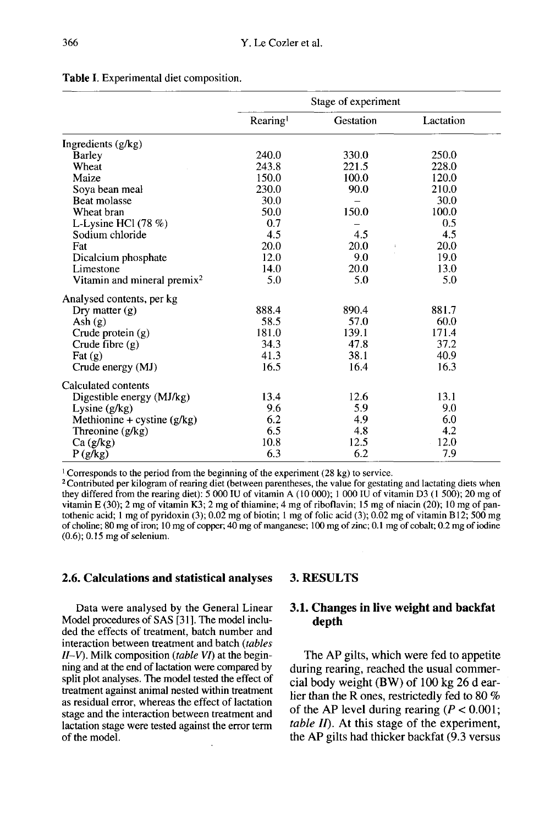|                                         | Stage of experiment  |            |           |  |
|-----------------------------------------|----------------------|------------|-----------|--|
|                                         | Rearing<br>Gestation |            | Lactation |  |
| Ingredients (g/kg)                      |                      |            |           |  |
| Barley                                  | 240.0                | 330.0      | 250.0     |  |
| Wheat                                   | 243.8                | 221.5      | 228.0     |  |
| Maize                                   | 150.0                | 100.0      | 120.0     |  |
| Soya bean meal                          | 230.0                | 90.0       | 210.0     |  |
| Beat molasse                            | 30.0                 |            | 30.0      |  |
| Wheat bran                              | 50.0                 | 150.0      | 100.0     |  |
| L-Lysine HCl $(78\%)$                   | 0.7                  |            | 0.5       |  |
| Sodium chloride                         | 4.5                  | 4.5        | 4.5       |  |
| Fat                                     | 20.0                 | 20.0<br>t. | 20.0      |  |
| Dicalcium phosphate                     | 12.0                 | 9.0        | 19.0      |  |
| Limestone                               | 14.0                 | 20.0       | 13.0      |  |
| Vitamin and mineral premix <sup>2</sup> | 5.0                  | 5.0        | 5.0       |  |
| Analysed contents, per kg               |                      |            |           |  |
| Dry matter $(g)$                        | 888.4                | 890.4      | 881.7     |  |
| Ash $(g)$                               | 58.5                 | 57.0       | 60.0      |  |
| Crude protein (g)                       | 181.0                | 139.1      | 171.4     |  |
| Crude fibre $(g)$                       | 34.3                 | 47.8       | 37.2      |  |
| Fat $(g)$                               | 41.3                 | 38.1       | 40.9      |  |
| Crude energy (MJ)                       | 16.5                 | 16.4       | 16.3      |  |
| Calculated contents                     |                      |            |           |  |
| Digestible energy (MJ/kg)               | 13.4                 | 12.6       | 13.1      |  |
| Lysine $(g/kg)$                         | 9.6                  | 5.9        | 9.0       |  |
| Methionine + cystine $(g/kg)$           | 6.2                  | 4.9        | 6.0       |  |
| Threonine (g/kg)                        | 6.5                  | 4.8        | 4.2       |  |
| Ca(g/kg)                                | 10.8                 | 12.5       | 12.0      |  |
| P(g/kg)                                 | 6.3                  | 6.2        | 7.9       |  |

## Table I. Experimental diet composition.

<sup>1</sup> Corresponds to the period from the beginning of the experiment (28 kg) to service.

<sup>2</sup> Contributed per kilogram of rearing diet (between parentheses, the value for gestating and lactating diets when they differed from the rearing diet):  $5000$  IU of vitamin A (10 000); 1 000 IU of vitamin D3 (1 500); 20 mg of vitamin E (30); 2 mg of vitamin K3; 2 mg of thiamine; 4 mg of riboflavin; 15 mg of niacin (20); 10 mg of pantothenic acid; 1 mg of pyridoxin (3);  $0.02$  mg of biotin; 1 mg of folic acid (3);  $0.02$  mg of vitamin B12; 500 mg of choline; 80 mg of iron; 10 mg of copper; 40 mg of manganese; 100 mg of zinc; 0.1 mg of cobalt; 0.2 mg of iodine  $(0.6)$ ; 0.15 mg of selenium.

#### 2.6. Calculations and statistical analyses

Data were analysed by the General Linear Model procedures of SAS [31]. The model included the effects of treatment, batch number and interaction between treatment and batch (tables  $II-V$ ). Milk composition (table VI) at the beginning and at the end of lactation were compared by split plot analyses. The model tested the effect of treatment against animal nested within treatment as residual error, whereas the effect of lactation stage and the interaction between treatment and lactation stage were tested against the error term of the model.

#### 3. RESULTS

## 3.1. Changes in live weight and backfat depth

The AP gilts, which were fed to appetite during rearing, reached the usual commercial body weight (BW) of 100 kg 26 d earlier than the R ones, restrictedly fed to 80 % of the AP level during rearing  $(P < 0.001$ ; table  $II$ ). At this stage of the experiment, the AP gilts had thicker backfat (9.3 versus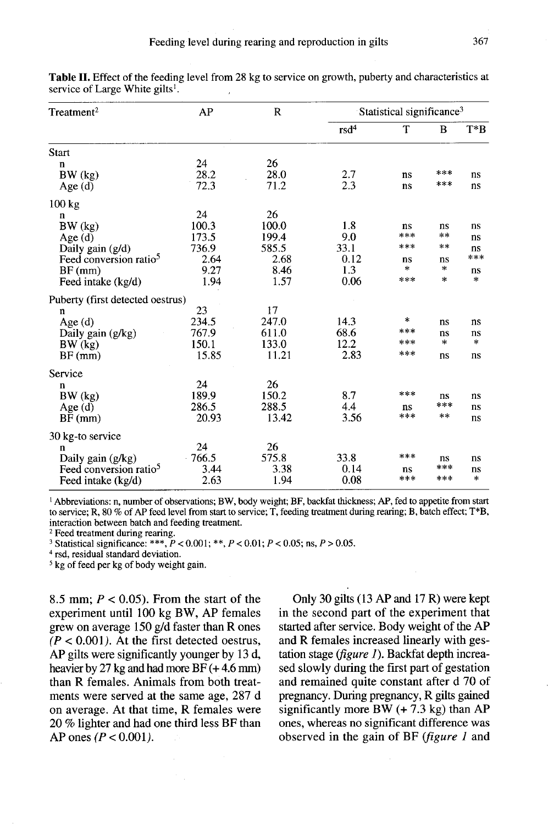| $T$ reatment <sup>2</sup>          | AP    | $\mathbb{R}$ | Statistical significance <sup>3</sup> |     |       |        |  |
|------------------------------------|-------|--------------|---------------------------------------|-----|-------|--------|--|
|                                    |       |              | rsd <sup>4</sup>                      | T   | B     | $T^*B$ |  |
| <b>Start</b>                       |       |              |                                       |     |       |        |  |
| n                                  | 24    | 26           |                                       |     |       |        |  |
| BW (kg)                            | 28.2  | 28.0         | 2.7                                   | ns  | ***   | ns     |  |
| Age $(d)$                          | 72.3  | 71.2         | 2.3                                   | ns  | ***   | ns     |  |
| $100 \text{ kg}$                   |       |              |                                       |     |       |        |  |
| n                                  | 24    | 26           |                                       |     |       |        |  |
| BW (kg)                            | 100.3 | 100.0        | 1.8                                   | ns  | ns    | ns     |  |
| Age(d)                             | 173.5 | 199.4        | 9.0                                   | *** | $**$  | ns     |  |
| Daily gain $(g/d)$                 | 736.9 | 585.5        | 33.1                                  | *** | $***$ | ns     |  |
| Feed conversion ratio <sup>5</sup> | 2.64  | 2.68         | 0.12                                  | ns  | ns    | ***    |  |
| $BF$ (mm)                          | 9.27  | 8.46         | 1.3                                   | *   | *     | ns     |  |
| Feed intake (kg/d)                 | 1.94  | 1.57         | 0.06                                  | *** | *     | *      |  |
| Puberty (first detected oestrus)   |       |              |                                       |     |       |        |  |
| $\mathbf n$                        | 23    | 17           |                                       |     |       |        |  |
| Age(d)                             | 234.5 | 247.0        | 14.3                                  | *   | ns    | ns     |  |
| Daily gain (g/kg)                  | 767.9 | 611.0        | 68.6                                  | *** | ns    | ns     |  |
| BW (kg)                            | 150.1 | 133.0        | 12.2                                  | *** | *     | *      |  |
| $BF$ (mm)                          | 15.85 | 11.21        | 2.83                                  | *** | ns    | ns     |  |
| Service                            |       |              |                                       |     |       |        |  |
| n                                  | 24    | 26           |                                       |     |       |        |  |
| BW (kg)                            | 189.9 | 150.2        | 8.7                                   | *** | ns    | ns     |  |
| Age(d)                             | 286.5 | 288.5        | 4.4                                   | ns  | ***   | ns     |  |
| $BF$ (mm)                          | 20.93 | 13.42        | 3.56                                  | *** | **    | ns     |  |
| 30 kg-to service                   |       |              |                                       |     |       |        |  |
| n                                  | 24    | 26           |                                       |     |       |        |  |
| Daily gain (g/kg)                  | 766.5 | 575.8        | 33.8                                  | *** | ns    | ns     |  |
| Feed conversion ratio <sup>5</sup> | 3.44  | 3.38         | 0.14                                  | ns  | ***   | ns     |  |
| Feed intake (kg/d)                 | 2.63  | 1.94         | 0.08                                  | *** | ***   | $\ast$ |  |

Table II. Effect of the feeding level from 28 kg to service on growth, puberty and characteristics at service of Large White gilts<sup>1</sup>.

<sup>1</sup> Abbreviations: n, number of observations; BW, body weight; BF, backfat thickness; AP, fed to appetite from start to service; R, 80 % of AP feed level from start to service; T, feeding treatment during rearing; B, batch effect; T\*B, interaction between batch and feeding treatment.

<sup>2</sup> Feed treatment during rearing.

<sup>3</sup> Statistical significance: \*\*\*,  $P < 0.001$ ; \*\*,  $P < 0.01$ ;  $P < 0.05$ ; ns,  $P > 0.05$ .

<sup>4</sup> rsd, residual standard deviation.

<sup>5</sup> kg of feed per kg of body weight gain.

8.5 mm;  $P < 0.05$ ). From the start of the experiment until 100 kg BW, AP females grew on average 150 g/d faster than R ones  $(P < 0.001)$ . At the first detected oestrus, AP gilts were significantly younger by 13 d, heavier by 27 kg and had more BF (+4.6 mm) than R females. Animals from both treatments were served at the same age, 287 d on average. At that time, R females were 20 % lighter and had one third less BF than AP ones  $(P < 0.001)$ .

Only 30 gilts (13 AP and 17 R) were kept in the second part of the experiment that started after service. Body weight of the AP and R females increased linearly with gestation stage ( $figure 1$ ). Backfat depth increased slowly during the first part of gestation and remained quite constant after d 70 of pregnancy. During pregnancy, R gilts gained significantly more BW  $(+ 7.3 \text{ kg})$  than AP ones, whereas no significant difference was observed in the gain of BF (figure 1 and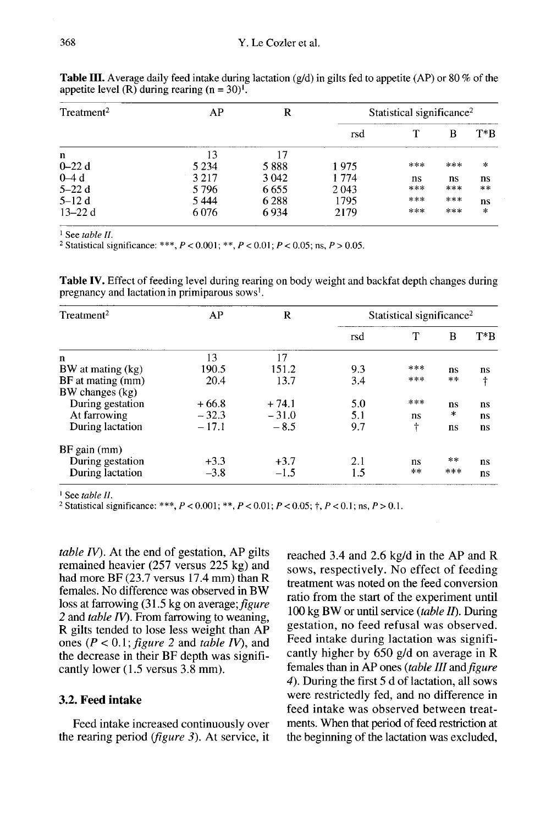| Treatment <sup>2</sup> | AP      | R       | Statistical significance <sup>2</sup> |     |     |        |
|------------------------|---------|---------|---------------------------------------|-----|-----|--------|
|                        |         |         | rsd                                   |     | В   | $T^*B$ |
| n                      | 13      | 17      |                                       |     |     |        |
| $0 - 22d$              | 5 2 3 4 | 5888    | 1975                                  | *** | *** | ∗      |
| $0-4d$                 | 3 2 1 7 | 3 0 4 2 | 1774                                  | ns  | ns  | ns     |
| $5-22d$                | 5796    | 6655    | 2043                                  | *** | *** | **     |
| $5-12d$                | 5444    | 6288    | 1795                                  | *** | *** | ns     |
| $13 - 22d$             | 6076    | 6934    | 2179                                  | *** | *** | *      |

**Table III.** Average daily feed intake during lactation (g/d) in gilts fed to appetite (AP) or 80 % of the appetite level (R) during rearing  $(n = 30)^T$ .

<sup>1</sup> See table  $II$ .

<sup>2</sup> Statistical significance: \*\*\*,  $P < 0.001$ ; \*\*,  $P < 0.01$ ;  $P < 0.05$ ; ns,  $P > 0.05$ .

Table IV. Effect of feeding level during rearing on body weight and backfat depth changes during pregnancy and lactation in primiparous sows<sup>1</sup>.

| Treatment <sup>2</sup> | AP      | R       | Statistical significance <sup>2</sup> |       |     |                        |  |
|------------------------|---------|---------|---------------------------------------|-------|-----|------------------------|--|
|                        |         |         | rsd                                   | т     | В   | $T^*B$                 |  |
| n                      | 13      | 17      |                                       |       |     |                        |  |
| BW at mating (kg)      | 190.5   | 151.2   | 9.3                                   | ***   | ns  | ns                     |  |
| BF at mating (mm)      | 20.4    | 13.7    | 3.4                                   | ***   | **  | $\boldsymbol{\dagger}$ |  |
| BW changes (kg)        |         |         |                                       |       |     |                        |  |
| During gestation       | $+66.8$ | $+74.1$ | 5.0                                   | ***   | ns  | ns                     |  |
| At farrowing           | $-32.3$ | $-31.0$ | 5.1                                   | ns    | *   | ns                     |  |
| During lactation       | $-17.1$ | $-8.5$  | 9.7                                   | ÷     | ns  | ns                     |  |
| $BF$ gain $(mm)$       |         |         |                                       |       |     |                        |  |
| During gestation       | $+3.3$  | $+3.7$  | 2.1                                   | ns    | **  | ns                     |  |
| During lactation       | $-3.8$  | $-1.5$  | 1.5                                   | $* *$ | *** | ns                     |  |

<sup>1</sup> See table  $II$ .

<sup>2</sup> Statistical significance: \*\*\*,  $P < 0.001$ ; \*\*,  $P < 0.01$ ;  $P < 0.05$ ; †,  $P < 0.1$ ; ns,  $P > 0.1$ .

table  $IV$ ). At the end of gestation, AP gilts remained heavier (257 versus 225 kg) and had more BF (23.7 versus 17.4 mm) than R females. No difference was observed in BW loss at farrowing (31.5 kg on average; figure 2 and table  $IV$ ). From farrowing to weaning, R gilts tended to lose less weight than AP ones ( $P < 0.1$ ; *figure 2* and *table IV*), and the decrease in their BF depth was significantly lower (1.5 versus 3.8 mm).

#### 3.2. Feed intake

Feed intake increased continuously over the rearing period (figure 3). At service, it

reached 3.4 and 2.6 kg/d in the AP and R sows, respectively. No effect of feeding treatment was noted on the feed conversion ratio from the start of the experiment until 100 kg BW or until service (table II). During gestation, no feed refusal was observed. Feed intake during lactation was significantly higher by 650 g/d on average in R females than in AP ones (table III and figure 4). During the first 5 d of lactation, all sows were restrictedly fed, and no difference in feed intake was observed between treatments. When that period of feed restriction at the beginning of the lactation was excluded,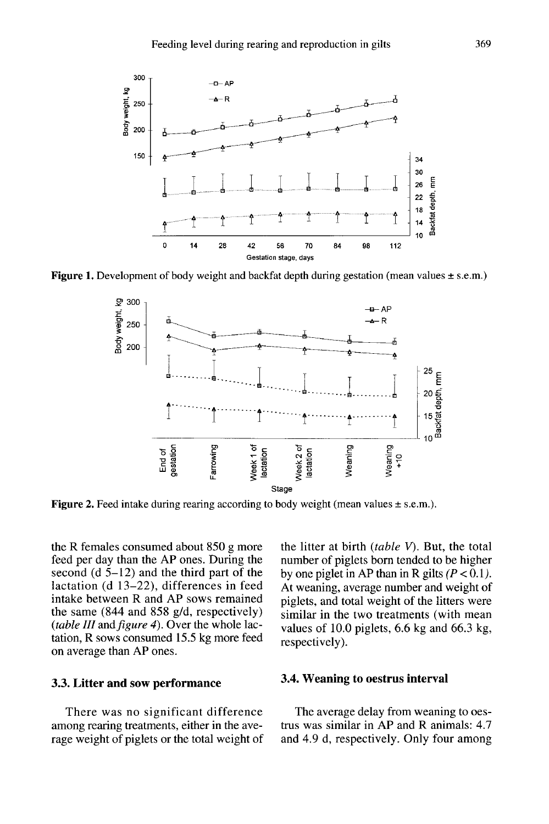

Figure 1. Development of body weight and backfat depth during gestation (mean values  $\pm$  s.e.m.)



**Figure 2.** Feed intake during rearing according to body weight (mean values  $\pm$  s.e.m.).

the R females consumed about 850 g more feed per day than the AP ones. During the second (d  $5-12$ ) and the third part of the lactation (d 13-22), differences in feed intake between R and AP sows remained the same (844 and 858 g/d, respectively) (table III and figure 4). Over the whole lactation, R sows consumed 15.5 kg more feed on average than AP ones.

## 3.3. Litter and sow performance

There was no significant difference among rearing treatments, either in the average weight of piglets or the total weight of the litter at birth  $(table V)$ . But, the total number of piglets born tended to be higher by one piglet in AP than in R gilts  $(P < 0.1)$ . At weaning, average number and weight of piglets, and total weight of the litters were similar in the two treatments (with mean values of 10.0 piglets, 6.6 kg and 66.3 kg, respectively).

### 3.4. Weaning to oestrus interval

The average delay from weaning to oestrus was similar in AP and R animals: 4.7 and 4.9 d, respectively. Only four among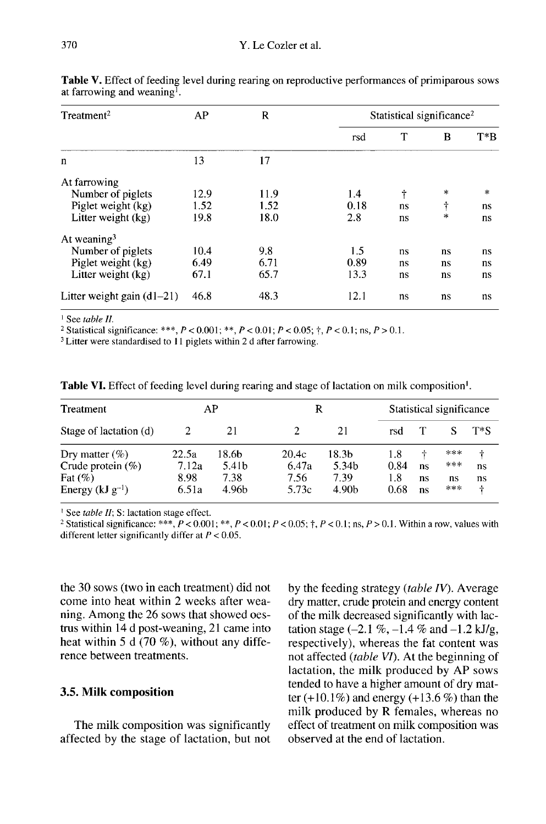| Treatment <sup>2</sup>       | AP   | $\mathbf R$ | Statistical significance <sup>2</sup> |    |         |        |  |
|------------------------------|------|-------------|---------------------------------------|----|---------|--------|--|
|                              |      |             | rsd                                   | T  | B       | $T^*B$ |  |
| $\mathbf n$                  | 13   | 17          |                                       |    |         |        |  |
| At farrowing                 |      |             |                                       |    |         |        |  |
| Number of piglets            | 12.9 | 11.9        | 1.4                                   | t  | $\star$ | $\ast$ |  |
| Piglet weight (kg)           | 1.52 | 1.52        | 0.18                                  | ns | t       | ns     |  |
| Litter weight (kg)           | 19.8 | 18.0        | 2.8                                   | ns | $\ast$  | ns     |  |
| At weaning $3$               |      |             |                                       |    |         |        |  |
| Number of piglets            | 10.4 | 9.8         | 1.5                                   | ns | ns      | ns     |  |
| Piglet weight (kg)           | 6.49 | 6.71        | 0.89                                  | ns | ns      | ns     |  |
| Litter weight (kg)           | 67.1 | 65.7        | 13.3                                  | ns | ns      | ns     |  |
| Litter weight gain $(d1-21)$ | 46.8 | 48.3        | 12.1                                  | ns | ns      | ns     |  |

Table V. Effect of feeding level during rearing on reproductive performances of primiparous sows at farrowing and weaning<sup> $\overline{I}$ </sup>.

 $\frac{1}{2}$  See table II.

<sup>2</sup> Statistical significance: \*\*\*,  $P < 0.001$ ; \*\*,  $P < 0.01$ ;  $P < 0.05$ ; †,  $P < 0.1$ ; ns,  $P > 0.1$ .

<sup>3</sup> Litter were standardised to 11 piglets within 2 d after farrowing.

| Treatment                                                                       | AP<br>R                         |                                 |                                 | Statistical significance                    |                            |                     |                         |                    |
|---------------------------------------------------------------------------------|---------------------------------|---------------------------------|---------------------------------|---------------------------------------------|----------------------------|---------------------|-------------------------|--------------------|
| Stage of lactation (d)                                                          |                                 | 21                              |                                 | 21                                          | rsd                        |                     |                         | $T^*S$             |
| Dry matter $(\%)$<br>Crude protein $(\%)$<br>Fat $(\%)$<br>Energy $(kJ g^{-1})$ | 22.5a<br>7.12a<br>8.98<br>6.51a | 18.6b<br>5.41b<br>7.38<br>4.96b | 20.4c<br>6.47a<br>7.56<br>5.73c | 18.3b<br>5.34b<br>7.39<br>4.90 <sub>h</sub> | 1.8<br>0.84<br>1.8<br>0.68 | ÷<br>ns<br>ns<br>ns | ***<br>***<br>ns<br>*** | ÷<br>ns<br>ns<br>÷ |

Table VI. Effect of feeding level during rearing and stage of lactation on milk composition<sup>1</sup>.

<sup>1</sup> See table II; S: lactation stage effect.

<sup>2</sup> Statistical significance: \*\*\*,  $P < 0.001$ ; \*\*,  $P < 0.01$ ;  $P < 0.05$ ;  $\dagger$ ,  $P < 0.1$ ; ns,  $P > 0.1$ . Within a row, values with different letter significantly differ at  $P < 0.05$ .

the 30 sows (two in each treatment) did not come into heat within 2 weeks after weaning. Among the 26 sows that showed oestrus within 14 d post-weaning, 21 came into heat within 5 d (70 %), without any difference between treatments.

## 3.5. Milk composition

The milk composition was significantly affected by the stage of lactation, but not

by the feeding strategy (table IV). Average dry matter, crude protein and energy content of the milk decreased significantly with lactation stage  $(-2.1 \%,-1.4 \%$  and  $-1.2$  kJ/g, respectively), whereas the fat content was not affected (table VI). At the beginning of lactation, the milk produced by AP sows tended to have a higher amount of dry matter  $(+10.1\%)$  and energy  $(+13.6\%)$  than the milk produced by R females, whereas no effect of treatment on milk composition was observed at the end of lactation.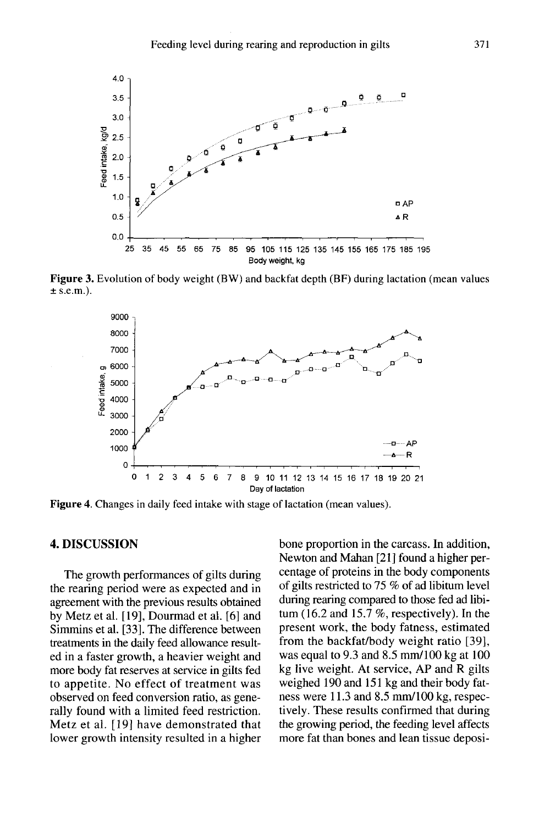

Figure 3. Evolution of body weight (BW) and backfat depth (BF) during lactation (mean values  $\pm$  s.e.m.).



**Figure 4.** Changes in daily feed intake with stage of lactation (mean values).

## 4. DISCUSSION

The growth performances of gilts during the rearing period were as expected and in agreement with the previous results obtained by Metz et al. [ 19], Dourmad et al. [6] and Simmins et al. [33]. The difference between treatments in the daily feed allowance resulted in a faster growth, a heavier weight and more body fat reserves at service in gilts fed to appetite. No effect of treatment was observed on feed conversion ratio, as generally found with a limited feed restriction. Metz et al. [19] have demonstrated that lower growth intensity resulted in a higher

bone proportion in the carcass. In addition, Newton and Mahan [21] found a higher percentage of proteins in the body components of gilts restricted to 75 % of ad libitum level during rearing compared to those fed ad libitum (16.2 and 15.7  $\%$ , respectively). In the present work, the body fatness, estimated from the backfat/body weight ratio [39], was equal to 9.3 and 8.5 mm/100 kg at 100 kg live weight. At service, AP and R gilts weighed 190 and 151 kg and their body fatness were 11.3 and 8.5 mm/100 kg, respectively. These results confirmed that during the growing period, the feeding level affects more fat than bones and lean tissue deposi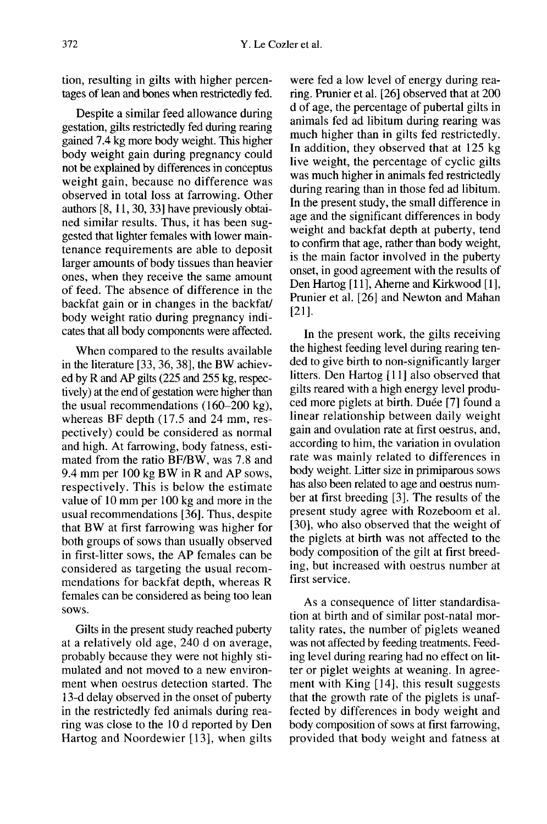tion, resulting in gilts with higher percentages of lean and bones when restrictedly fed.

Despite a similar feed allowance during gestation, gilts restrictedly fed during rearing gained 7.4 kg more body weight. This higher body weight gain during pregnancy could not be explained by differences in conceptus weight gain, because no difference was observed in total loss at farrowing. Other authors [8, 11, 30, 33] have previously obtained similar results. Thus, it has been suggested that lighter females with lower maintenance requirements are able to deposit larger amounts of body tissues than heavier ones, when they receive the same amount of feed. The absence of difference in the backfat gain or in changes in the backfat/ body weight ratio during pregnancy indicates that all body components were affected.

When compared to the results available in the literature [33, 36, 38], the BW achieved by R and AP gilts (225 and 255 kg, respectively) at the end of gestation were higher than the usual recommendations ( 160-200 kg), whereas BF depth (17.5 and 24 mm, respectively) could be considered as normal and high. At farrowing, body fatness, estimated from the ratio BF/BW, was 7.8 and 9.4 mm per 100 kg BW in R and AP sows, respectively. This is below the estimate value of 10 mm per 100 kg and more in the usual recommendations [36]. Thus, despite that BW at first farrowing was higher for both groups of sows than usually observed in first-litter sows, the AP females can be considered as targeting the usual recommendations for backfat depth, whereas R females can be considered as being too lean sows.

Gilts in the present study reached puberty at a relatively old age, 240 d on average, probably because they were not highly stimulated and not moved to a new environment when oestrus detection started. The 13-d delay observed in the onset of puberty in the restrictedly fed animals during rearing was close to the 10 d reported by Den Hartog and Noordewier [13], when gilts

were fed a low level of energy during rearing. Prunier et al. [26] observed that at 200 d of age, the percentage of pubertal gilts in animals fed ad libitum during rearing was much higher than in gilts fed restrictedly. In addition, they observed that at 125 kg live weight, the percentage of cyclic gilts was much higher in animals fed restrictedly during rearing than in those fed ad libitum. In the present study, the small difference in age and the significant differences in body weight and backfat depth at puberty, tend to confirm that age, rather than body weight, is the main factor involved in the puberty onset, in good agreement with the results of Den Hartog [11], Aherne and Kirkwood [1], Prunier et al. [26] and Newton and Mahan [21].

In the present work, the gilts receiving the highest feeding level during rearing tended to give birth to non-significantly larger litters. Den Hartog [11] also observed that gilts reared with a high energy level produced more piglets at birth. Duée [7] found a linear relationship between daily weight gain and ovulation rate at first oestrus, and, according to him, the variation in ovulation rate was mainly related to differences in body weight. Litter size in primiparous sows has also been related to age and oestrus number at first breeding [3]. The results of the present study agree with Rozeboom et al. [30], who also observed that the weight of the piglets at birth was not affected to the body composition of the gilt at first breeding, but increased with oestrus number at first service.

As a consequence of litter standardisation at birth and of similar post-natal mortality rates, the number of piglets weaned was not affected by feeding treatments. Feeding level during rearing had no effect on litter or piglet weights at weaning. In agreement with King [14], this result suggests that the growth rate of the piglets is unaffected by differences in body weight and body composition of sows at first farrowing, provided that body weight and fatness at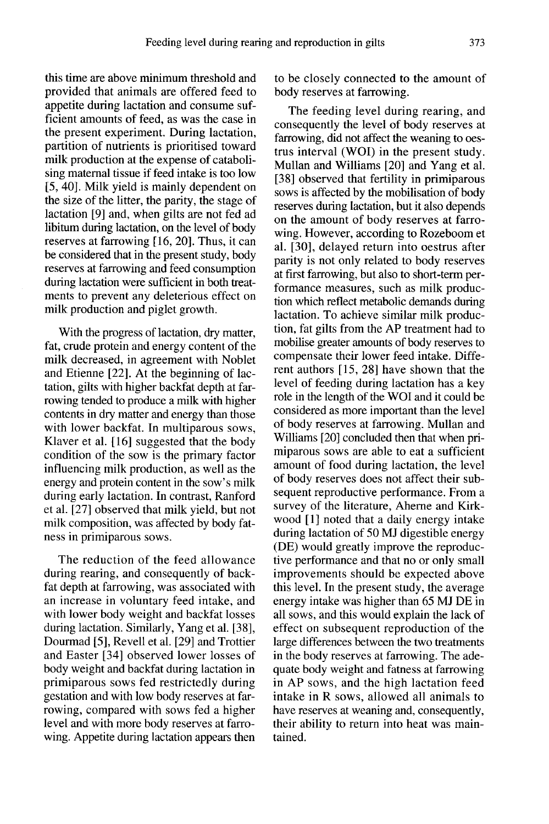this time are above minimum threshold and provided that animals are offered feed to appetite during lactation and consume sufficient amounts of feed, as was the case in the present experiment. During lactation, partition of nutrients is prioritised toward milk production at the expense of catabolising maternal tissue if feed intake is too low [5, 40]. Milk yield is mainly dependent on the size of the litter, the parity, the stage of lactation [9] and, when gilts are not fed ad libitum during lactation, on the level of body reserves at farrowing [16, 20]. Thus, it can be considered that in the present study, body reserves at farrowing and feed consumption during lactation were sufficient in both treatments to prevent any deleterious effect on milk production and piglet growth.

With the progress of lactation, dry matter, fat, crude protein and energy content of the milk decreased, in agreement with Noblet and Etienne [22]. At the beginning of lactation, gilts with higher backfat depth at farrowing tended to produce a milk with higher contents in dry matter and energy than those with lower backfat. In multiparous sows, Klaver et al. [16] suggested that the body condition of the sow is the primary factor influencing milk production, as well as the energy and protein content in the sow's milk during early lactation. In contrast, Ranford et al. [27] observed that milk yield, but not milk composition, was affected by body fatness in primiparous sows.

The reduction of the feed allowance during rearing, and consequently of backfat depth at farrowing, was associated with an increase in voluntary feed intake, and with lower body weight and backfat losses during lactation. Similarly, Yang et al. [38], Dourmad [5], Revell et al. [29] and Trottier and Easter [34] observed lower losses of body weight and backfat during lactation in primiparous sows fed restrictedly during gestation and with low body reserves at farrowing, compared with sows fed a higher level and with more body reserves at farrowing. Appetite during lactation appears then to be closely connected to the amount of body reserves at farrowing.

The feeding level during rearing, and consequently the level of body reserves at farrowing, did not affect the weaning to oestrus interval (WOI) in the present study. Mullan and Williams [20] and Yang et al. [38] observed that fertility in primiparous sows is affected by the mobilisation of body reserves during lactation, but it also depends on the amount of body reserves at farrowing. However, according to Rozeboom et al. [30], delayed return into oestrus after parity is not only related to body reserves at first farrowing, but also to short-term performance measures, such as milk production which reflect metabolic demands during lactation. To achieve similar milk production, fat gilts from the AP treatment had to mobilise greater amounts of body reserves to compensate their lower feed intake. Different authors [15, 28] have shown that the level of feeding during lactation has a key role in the length of the WOI and it could be considered as more important than the level of body reserves at farrowing. Mullan and Williams [20] concluded then that when primiparous sows are able to eat a sufficient amount of food during lactation, the level of body reserves does not affect their subsequent reproductive performance. From a survey of the literature, Aherne and Kirkwood [1] noted that a daily energy intake during lactation of 50 MJ digestible energy (DE) would greatly improve the reproductive performance and that no or only small improvements should be expected above this level. In the present study, the average energy intake was higher than 65 MJ DE in all sows, and this would explain the lack of effect on subsequent reproduction of the large differences between the two treatments in the body reserves at farrowing. The adequate body weight and fatness at farrowing in AP sows, and the high lactation feed intake in R sows, allowed all animals to have reserves at weaning and, consequently, their ability to return into heat was maintained.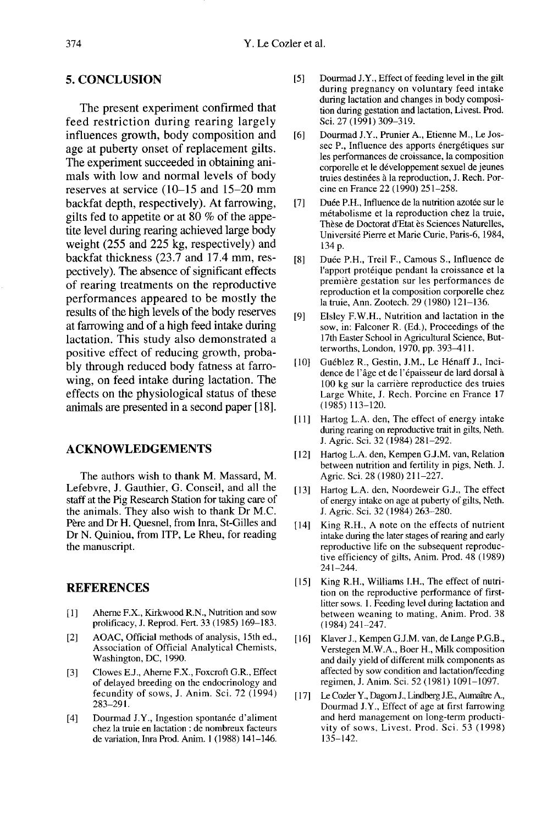## 5. CONCLUSION

The present experiment confirmed that feed restriction during rearing largely influences growth, body composition and age at puberty onset of replacement gilts. The experiment succeeded in obtaining ani-<br>mals with low and normal levels of body reserves at service  $(10-15$  and  $15-20$  mm backfat depth, respectively). At farrowing, gilts fed to appetite or at 80 % of the appetite level during rearing achieved large body weight (255 and 225 kg, respectively) and backfat thickness (23.7 and 17.4 mm, respectively). The absence of significant effects of rearing treatments on the reproductive performances appeared to be mostly the results of the high levels of the body reserves at farrowing and of a high feed intake during lactation. This study also demonstrated a positive effect of reducing growth, probably through reduced body fatness at farrowing, on feed intake during lactation. The effects on the physiological status of these animals are presented in a second paper [18].

## ACKNOWLEDGEMENTS

The authors wish to thank M. Massard, M. Lefebvre, J. Gauthier, G. Conseil, and all the staff at the Pig Research Station for taking care of the animals. They also wish to thank Dr M.C. Pere and Dr H. Quesnel, from Inra, St-Gilles and Dr N. Quiniou, from ITP, Le Rheu, for reading the manuscript.

#### REFERENCES

- [1] ] Aheme F.X., Kirkwood R.N., Nutrition and sow prolificacy, J. Reprod. Fert. 33 (1985) 169-183.
- [2] AOAC, Official methods of analysis, 15th ed., Association of Official Analytical Chemists, Washington, DC, 1990.
- [3] Clowes E.J., Aheme F.X., Foxcroft G.R., Effect of delayed breeding on the endocrinology and fecundity of sows, J. Anim. Sci. 72 (1994) 283-291.
- [4] Dourmad J.Y., Ingestion spontanée d'aliment chez la truie en lactation : de nombreux facteurs de variation, Inra Prod. Anim. I (1988) 141-146.
- [5] Dourmad J.Y., Effect of feeding level in the gilt during pregnancy on voluntary feed intake during lactation and changes in body composition during gestation and lactation, Livest. Prod. Sci. 27 (1991) 309-319.
- [6] Dourmad J.Y., Prunier A., Etienne M., Le Jossec P., Influence des apports énergétiques sur les performances de croissance, la composition corporelle et le développement sexuel de jeunes truies destinées à la reproduction, J. Rech. Porcine en France 22 (1990) 251-258.
- [7] Duée P.H., Influence de la nutrition azotée sur le m6tabolisme et la reproduction chez la truie, Thèse de Doctorat d'Etat ès Sciences Naturelles, Université Pierre et Marie Curie, Paris-6, 1984, 134 p.
- [8] Duée P.H., Treil F., Camous S., Influence de l'apport protéique pendant la croissance et la premiere gestation sur les performances de reproduction et la composition corporelle chez la truie, Ann. Zootech. 29 (1980) 121-136.
- [9] Elsley F.W.H., Nutrition and lactation in the sow, in: Falconer R. (Ed.), Proceedings of the l7th Easter School in Agricultural Science, Butterworths, London, 1970, pp. 393-4 1 I.
- [10] Gu6b]ez R., Gestin, J.M., Le H6naff J., Incidence de l'âge et de l'épaisseur de lard dorsal à<br>100 kg sur la carrière reproductice des truies erworths, London, 1970, pp. 393–411.<br>Guéblez R., Gestin, J.M., Le Hénaff J., Inci-<br>dence de l'âge et de l'épaisseur de lard dorsal à<br>100 kg sur la carrière reproductice des truies<br>Large White. J. Rech. Porcine en France 17 Large White, J. Rech. Porcine en France 17 (1985)113-120.
- [11] Hartog L.A. den, The effect of energy intake during rearing on reproductive trait in gilts, Neth. J. Agric. Sci. 32 (1984) 281-292.
- [12] Hartog L.A. den, Kempen G.J.M. van, Relation between nutrition and fertility in pigs, Neth. J. Agric. Sci. 28 (1980) 211-227.
- [13] Hartog L.A. den, Noordeweir G.J., The effect of energy intake on age at puberty of gilts, Neth. J. Agric. Sci. 32 (1984) 263-280.
- [14] King R.H., A note on the effects of nutrient intake during the later stages of rearing and early reproductive life on the subsequent reproductive efficiency of gilts, Anim. Prod. 48 (1989) 241-244.
- [15] King R.H., Williams I.H., The effect of nutrition on the reproductive performance of firstlitter sows. 1. Feeding level during lactation and between weaning to mating, Anim. Prod. 38 (1984) 241-247.
- [16] Klaver J., Kempen G.J.M. van, de Lange P.G.B., Verstegen M.W.A., Boer H., Milk composition and daily yield of different milk components as affected by sow condition and lactation/feeding regimen, J. Anim. Sci. 52 (1981) 1091-1097.
- [ 17] Le Cozler Y., Dagom J., Lindberg J.E., Aumaitre A., Dourmad J.Y., Effect of age at first farrowing and herd management on long-term productivity of sows, Livest. Prod. Sci. 53 (1998) 135-142.